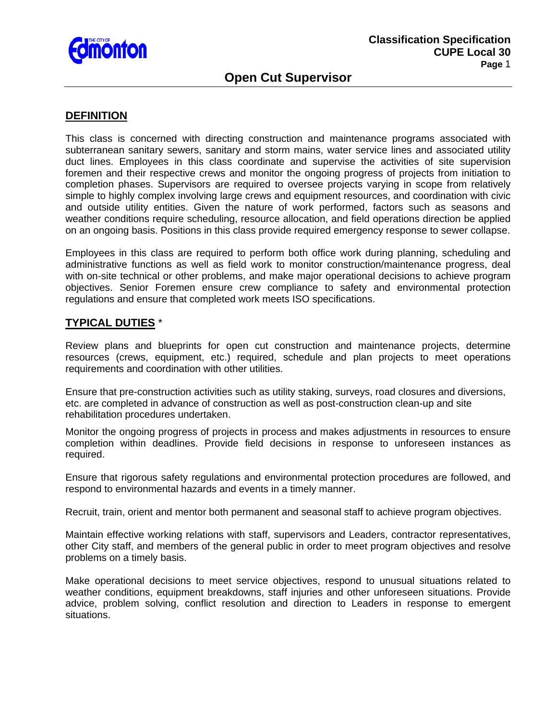

## **Open Cut Supervisor**

### **DEFINITION**

This class is concerned with directing construction and maintenance programs associated with subterranean sanitary sewers, sanitary and storm mains, water service lines and associated utility duct lines. Employees in this class coordinate and supervise the activities of site supervision foremen and their respective crews and monitor the ongoing progress of projects from initiation to completion phases. Supervisors are required to oversee projects varying in scope from relatively simple to highly complex involving large crews and equipment resources, and coordination with civic and outside utility entities. Given the nature of work performed, factors such as seasons and weather conditions require scheduling, resource allocation, and field operations direction be applied on an ongoing basis. Positions in this class provide required emergency response to sewer collapse.

Employees in this class are required to perform both office work during planning, scheduling and administrative functions as well as field work to monitor construction/maintenance progress, deal with on-site technical or other problems, and make major operational decisions to achieve program objectives. Senior Foremen ensure crew compliance to safety and environmental protection regulations and ensure that completed work meets ISO specifications.

#### **TYPICAL DUTIES** \*

Review plans and blueprints for open cut construction and maintenance projects, determine resources (crews, equipment, etc.) required, schedule and plan projects to meet operations requirements and coordination with other utilities.

Ensure that pre-construction activities such as utility staking, surveys, road closures and diversions, etc. are completed in advance of construction as well as post-construction clean-up and site rehabilitation procedures undertaken.

Monitor the ongoing progress of projects in process and makes adjustments in resources to ensure completion within deadlines. Provide field decisions in response to unforeseen instances as required.

Ensure that rigorous safety regulations and environmental protection procedures are followed, and respond to environmental hazards and events in a timely manner.

Recruit, train, orient and mentor both permanent and seasonal staff to achieve program objectives.

Maintain effective working relations with staff, supervisors and Leaders, contractor representatives, other City staff, and members of the general public in order to meet program objectives and resolve problems on a timely basis.

Make operational decisions to meet service objectives, respond to unusual situations related to weather conditions, equipment breakdowns, staff injuries and other unforeseen situations. Provide advice, problem solving, conflict resolution and direction to Leaders in response to emergent situations.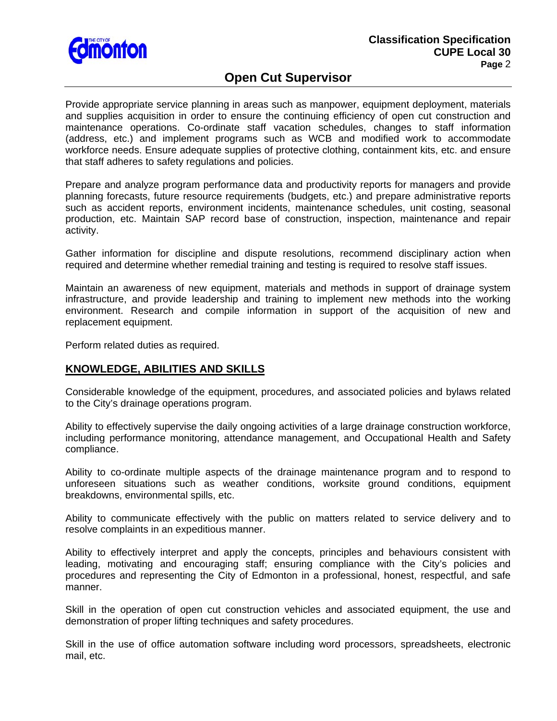

# **Open Cut Supervisor**

Provide appropriate service planning in areas such as manpower, equipment deployment, materials and supplies acquisition in order to ensure the continuing efficiency of open cut construction and maintenance operations. Co-ordinate staff vacation schedules, changes to staff information (address, etc.) and implement programs such as WCB and modified work to accommodate workforce needs. Ensure adequate supplies of protective clothing, containment kits, etc. and ensure that staff adheres to safety regulations and policies.

Prepare and analyze program performance data and productivity reports for managers and provide planning forecasts, future resource requirements (budgets, etc.) and prepare administrative reports such as accident reports, environment incidents, maintenance schedules, unit costing, seasonal production, etc. Maintain SAP record base of construction, inspection, maintenance and repair activity.

Gather information for discipline and dispute resolutions, recommend disciplinary action when required and determine whether remedial training and testing is required to resolve staff issues.

Maintain an awareness of new equipment, materials and methods in support of drainage system infrastructure, and provide leadership and training to implement new methods into the working environment. Research and compile information in support of the acquisition of new and replacement equipment.

Perform related duties as required.

## **KNOWLEDGE, ABILITIES AND SKILLS**

Considerable knowledge of the equipment, procedures, and associated policies and bylaws related to the City's drainage operations program.

Ability to effectively supervise the daily ongoing activities of a large drainage construction workforce, including performance monitoring, attendance management, and Occupational Health and Safety compliance.

Ability to co-ordinate multiple aspects of the drainage maintenance program and to respond to unforeseen situations such as weather conditions, worksite ground conditions, equipment breakdowns, environmental spills, etc.

Ability to communicate effectively with the public on matters related to service delivery and to resolve complaints in an expeditious manner.

Ability to effectively interpret and apply the concepts, principles and behaviours consistent with leading, motivating and encouraging staff; ensuring compliance with the City's policies and procedures and representing the City of Edmonton in a professional, honest, respectful, and safe manner.

Skill in the operation of open cut construction vehicles and associated equipment, the use and demonstration of proper lifting techniques and safety procedures.

Skill in the use of office automation software including word processors, spreadsheets, electronic mail, etc.